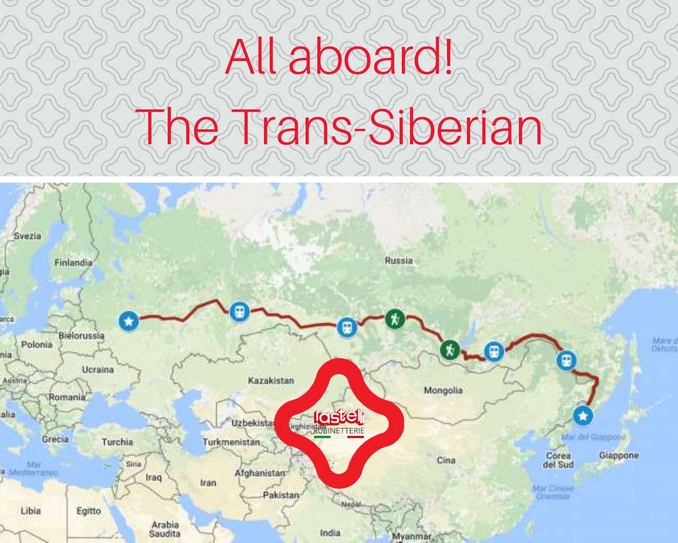## All aboard!

## le Trans-Siberian

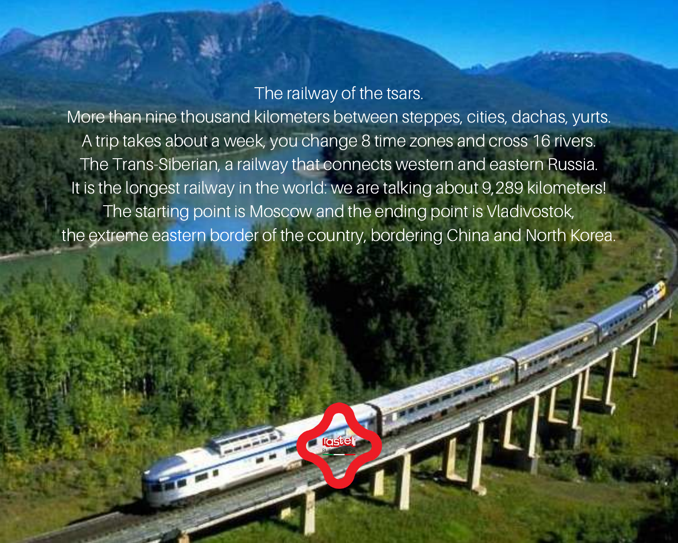## The railway of the tsars.

More than nine thousand kilometers between steppes, cities, dachas, yurts. A trip takes about a week, you change 8 time zones and cross 16 rivers. The Trans-Siberian, a railway that connects western and eastern Russia. It is the longest railway in the world: we are talking about 9,289 kilometers! The starting point is Moscow and the ending point is Vladivostok, the extreme eastern border of the country, bordering China and North Korea.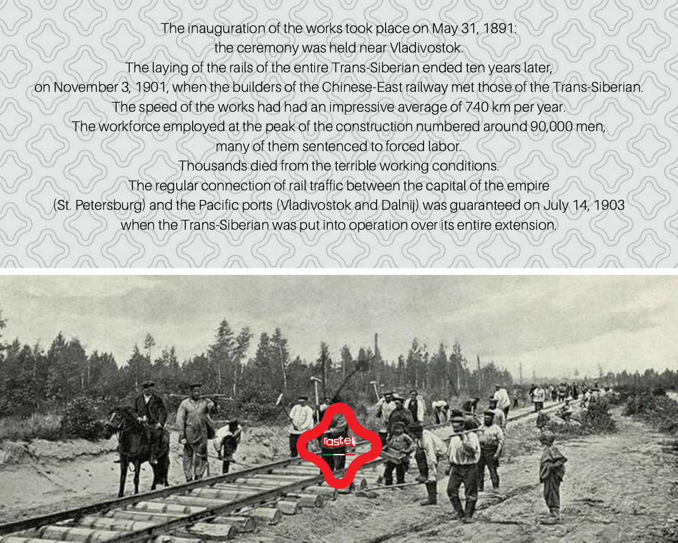The inauguration of the works took place on May 31, 1891:

the ceremony was held near Vladivostok.

The laying of the rails of the entire Trans-Siberian ended ten years later,

on November 3, 1901, when the builders of the Chinese-East railway met those of the Trans-Siberian.

The speed of the works had had an impressive average of 740 km per year.

The workforce employed at the peak of the construction numbered around 90,000 men,

many of them sentenced to forced labor.

Thousands died from the terrible working conditions.

The regular connection of rail traffic between the capital of the empire

(St. Petersburg) and the Pacific ports (Vladivostok and Dalnij) was guaranteed on July 14, 1903 when the Trans-Siberian was put into operation over its entire extension.

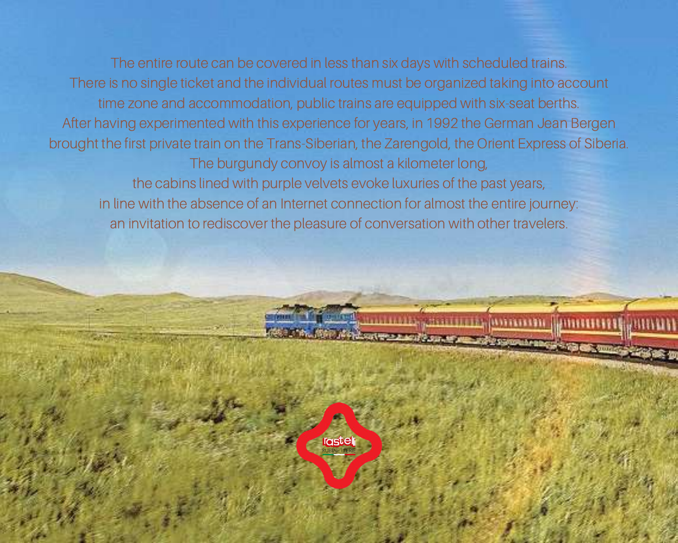The entire route can be covered in less than six days with scheduled trains. There is no single ticket and the individual routes must be organized taking into account time zone and accommodation, public trains are equipped with six-seat berths. After having experimented with this experience for years, in 1992 the German Jean Bergen brought the first private train on the Trans-Siberian, the Zarengold, the Orient Express of Siberia. The burgundy convoy is almost a kilometer long, the cabins lined with purple velvets evoke luxuries of the past years, in line with the absence of an Internet connection for almost the entire journey: an invitation to rediscover the pleasure of conversation with other travelers.

**roste** 

полаждая аттитику розволят Димитики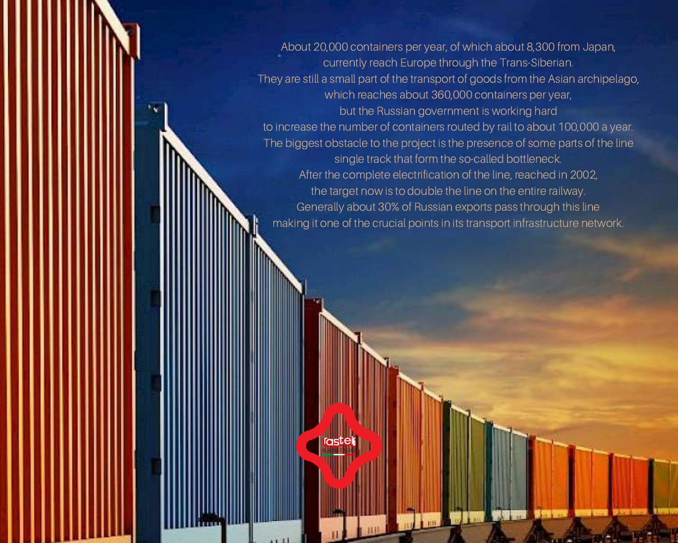About 20,000 containers per year, of which about 8,300 from Japan, currently reach Europe through the Trans-Siberian. They are still a small part of the transport of goods from the Asian archipelago, which reaches about 360,000 containers per year, but the Russian government is working hard to increase the number of containers routed by rail to about 100,000 a year. The biggest obstacle to the project is the presence of some parts of the line single track that form the so-called bottleneck. After the complete electrification of the line, reached in 2002, the target now is to double the line on the entire railway. Generally about 30% of Russian exports pass through this line making it one of the crucial points in its transport infrastructure network.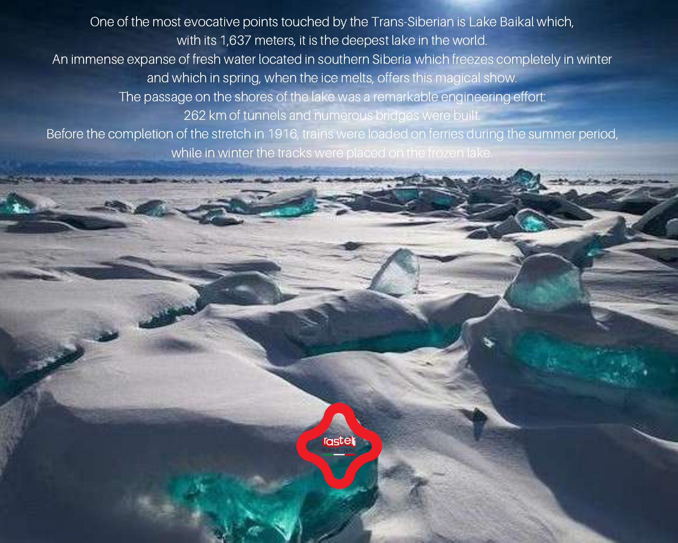One of the most evocative points touched by the Trans-Siberian is Lake Baikal which, with its 1,637 meters, it is the deepest lake in the world. An immense expanse of fresh water located in southern Siberia which freezes completely in winter and which in spring, when the ice melts, offers this magical show. The passage on the shores of the lake was a remarkable engineering effort: 262 km of tunnels and numerous bridges were built. Before the completion of the stretch in 1916, trains were loaded on ferries during the summer period, while in winter the tracks were placed on the frozen lake.

rasteli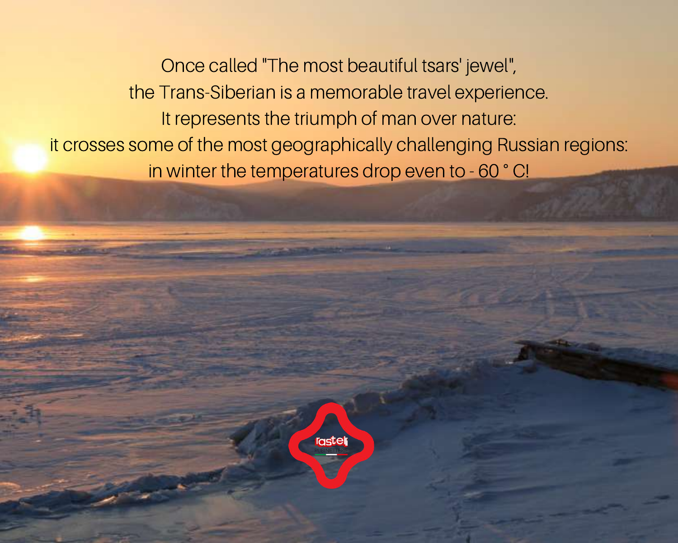Once called "The most beautiful tsars' jewel", the Trans-Siberian is a memorable travel experience. It represents the triumph of man over nature: it crosses some of the most geographically challenging Russian regions: in winter the temperatures drop even to - 60 ° C!

rastel